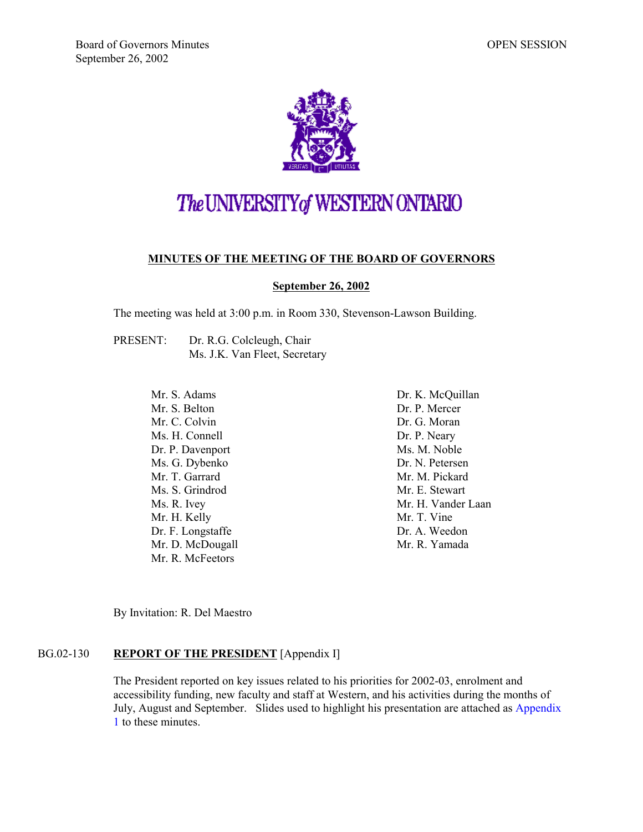

# The UNIVERSITY of WESTERN ONTARIO

## **MINUTES OF THE MEETING OF THE BOARD OF GOVERNORS**

#### **September 26, 2002**

The meeting was held at 3:00 p.m. in Room 330, Stevenson-Lawson Building.

PRESENT: Dr. R.G. Colcleugh, Chair Ms. J.K. Van Fleet, Secretary

> Mr. S. Adams Mr. S. Belton Mr. C. Colvin Ms. H. Connell Dr. P. Davenport Ms. G. Dybenko Mr. T. Garrard Ms. S. Grindrod Ms. R. Ivey Mr. H. Kelly Dr. F. Longstaffe Mr. D. McDougall Mr. R. McFeetors

Dr. K. McQuillan Dr. P. Mercer Dr. G. Moran Dr. P. Neary Ms. M. Noble Dr. N. Petersen Mr. M. Pickard Mr. E. Stewart Mr. H. Vander Laan Mr. T. Vine Dr. A. Weedon Mr. R. Yamada

By Invitation: R. Del Maestro

## BG.02-130 **REPORT OF THE PRESIDENT** [Appendix I]

The President reported on key issues related to his priorities for 2002-03, enrolment and accessibility funding, new faculty and staff at Western, and his activities during the months of July, August and September. Slides used to highlight his presentation are attached as [Appendix](#page-7-0) [1](#page-7-0) to these minutes.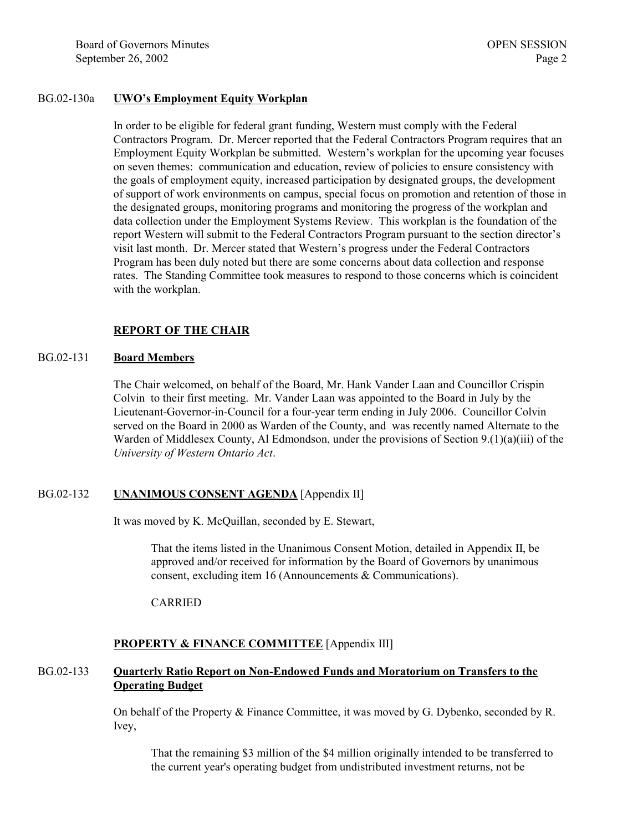### BG.02-130a **UWO's Employment Equity Workplan**

In order to be eligible for federal grant funding, Western must comply with the Federal Contractors Program. Dr. Mercer reported that the Federal Contractors Program requires that an Employment Equity Workplan be submitted. Western's workplan for the upcoming year focuses on seven themes: communication and education, review of policies to ensure consistency with the goals of employment equity, increased participation by designated groups, the development of support of work environments on campus, special focus on promotion and retention of those in the designated groups, monitoring programs and monitoring the progress of the workplan and data collection under the Employment Systems Review. This workplan is the foundation of the report Western will submit to the Federal Contractors Program pursuant to the section director's visit last month. Dr. Mercer stated that Western's progress under the Federal Contractors Program has been duly noted but there are some concerns about data collection and response rates. The Standing Committee took measures to respond to those concerns which is coincident with the workplan.

## **REPORT OF THE CHAIR**

#### BG.02-131 **Board Members**

The Chair welcomed, on behalf of the Board, Mr. Hank Vander Laan and Councillor Crispin Colvin to their first meeting. Mr. Vander Laan was appointed to the Board in July by the Lieutenant-Governor-in-Council for a four-year term ending in July 2006. Councillor Colvin served on the Board in 2000 as Warden of the County, and was recently named Alternate to the Warden of Middlesex County, Al Edmondson, under the provisions of Section 9.(1)(a)(iii) of the *University of Western Ontario Act*.

## BG.02-132 **UNANIMOUS CONSENT AGENDA** [Appendix II]

It was moved by K. McQuillan, seconded by E. Stewart,

That the items listed in the Unanimous Consent Motion, detailed in Appendix II, be approved and/or received for information by the Board of Governors by unanimous consent, excluding item 16 (Announcements & Communications).

CARRIED

## **PROPERTY & FINANCE COMMITTEE** [Appendix III]

## BG.02-133 **Quarterly Ratio Report on Non-Endowed Funds and Moratorium on Transfers to the Operating Budget**

On behalf of the Property & Finance Committee, it was moved by G. Dybenko, seconded by R. Ivey,

That the remaining \$3 million of the \$4 million originally intended to be transferred to the current year's operating budget from undistributed investment returns, not be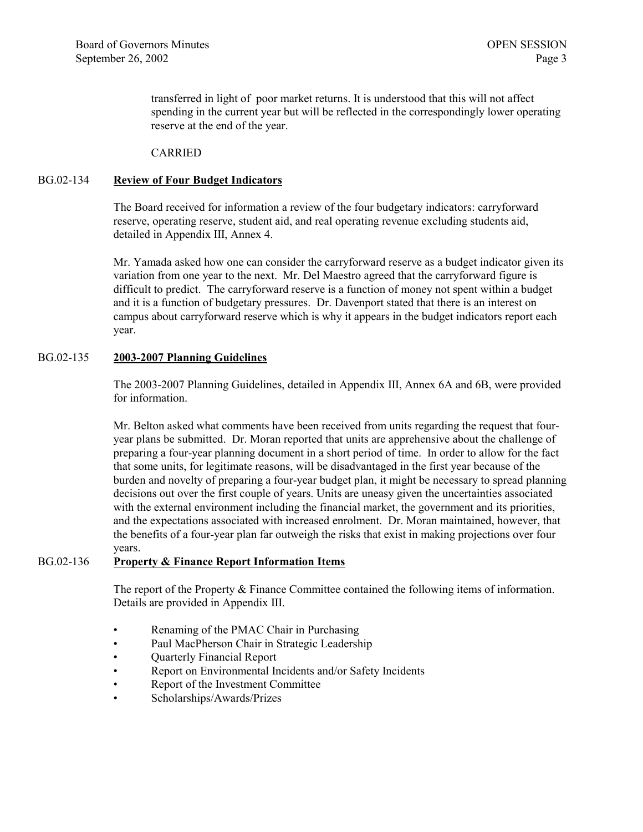transferred in light of poor market returns. It is understood that this will not affect spending in the current year but will be reflected in the correspondingly lower operating reserve at the end of the year.

CARRIED

## BG.02-134 **Review of Four Budget Indicators**

The Board received for information a review of the four budgetary indicators: carryforward reserve, operating reserve, student aid, and real operating revenue excluding students aid, detailed in Appendix III, Annex 4.

Mr. Yamada asked how one can consider the carryforward reserve as a budget indicator given its variation from one year to the next. Mr. Del Maestro agreed that the carryforward figure is difficult to predict. The carryforward reserve is a function of money not spent within a budget and it is a function of budgetary pressures. Dr. Davenport stated that there is an interest on campus about carryforward reserve which is why it appears in the budget indicators report each year.

## BG.02-135 **2003-2007 Planning Guidelines**

The 2003-2007 Planning Guidelines, detailed in Appendix III, Annex 6A and 6B, were provided for information.

Mr. Belton asked what comments have been received from units regarding the request that fouryear plans be submitted. Dr. Moran reported that units are apprehensive about the challenge of preparing a four-year planning document in a short period of time. In order to allow for the fact that some units, for legitimate reasons, will be disadvantaged in the first year because of the burden and novelty of preparing a four-year budget plan, it might be necessary to spread planning decisions out over the first couple of years. Units are uneasy given the uncertainties associated with the external environment including the financial market, the government and its priorities, and the expectations associated with increased enrolment. Dr. Moran maintained, however, that the benefits of a four-year plan far outweigh the risks that exist in making projections over four years.

## BG.02-136 **Property & Finance Report Information Items**

The report of the Property & Finance Committee contained the following items of information. Details are provided in Appendix III.

- Renaming of the PMAC Chair in Purchasing
- Paul MacPherson Chair in Strategic Leadership
- Quarterly Financial Report
- Report on Environmental Incidents and/or Safety Incidents
- Report of the Investment Committee
- Scholarships/Awards/Prizes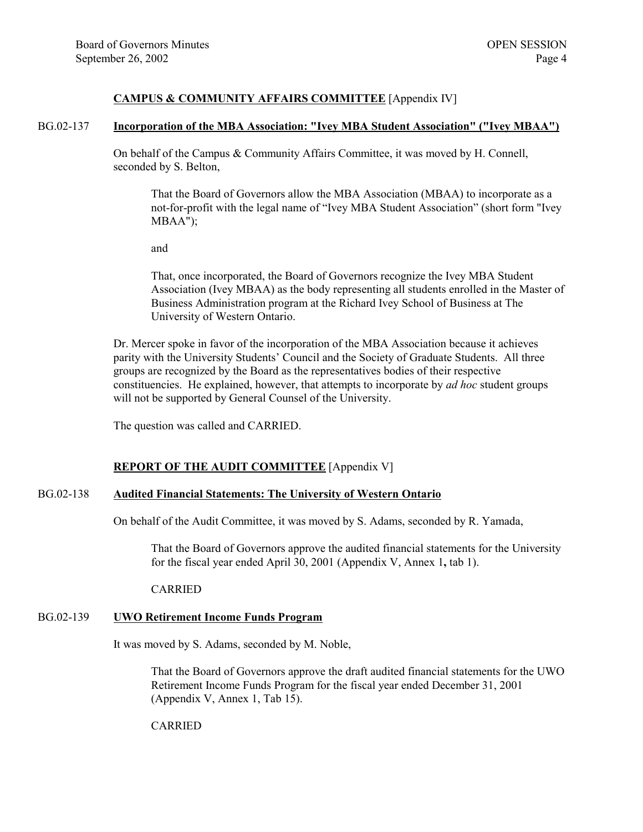## **CAMPUS & COMMUNITY AFFAIRS COMMITTEE** [Appendix IV]

#### BG.02-137 **Incorporation of the MBA Association: "Ivey MBA Student Association" ("Ivey MBAA")**

On behalf of the Campus & Community Affairs Committee, it was moved by H. Connell, seconded by S. Belton,

That the Board of Governors allow the MBA Association (MBAA) to incorporate as a not-for-profit with the legal name of "Ivey MBA Student Association" (short form "Ivey MBAA");

and

That, once incorporated, the Board of Governors recognize the Ivey MBA Student Association (Ivey MBAA) as the body representing all students enrolled in the Master of Business Administration program at the Richard Ivey School of Business at The University of Western Ontario.

Dr. Mercer spoke in favor of the incorporation of the MBA Association because it achieves parity with the University Students' Council and the Society of Graduate Students. All three groups are recognized by the Board as the representatives bodies of their respective constituencies. He explained, however, that attempts to incorporate by *ad hoc* student groups will not be supported by General Counsel of the University.

The question was called and CARRIED.

## **REPORT OF THE AUDIT COMMITTEE** [Appendix V]

#### BG.02-138 **Audited Financial Statements: The University of Western Ontario**

On behalf of the Audit Committee, it was moved by S. Adams, seconded by R. Yamada,

That the Board of Governors approve the audited financial statements for the University for the fiscal year ended April 30, 2001 (Appendix V, Annex 1**,** tab 1).

CARRIED

## BG.02-139 **UWO Retirement Income Funds Program**

It was moved by S. Adams, seconded by M. Noble,

That the Board of Governors approve the draft audited financial statements for the UWO Retirement Income Funds Program for the fiscal year ended December 31, 2001 (Appendix V, Annex 1, Tab 15).

CARRIED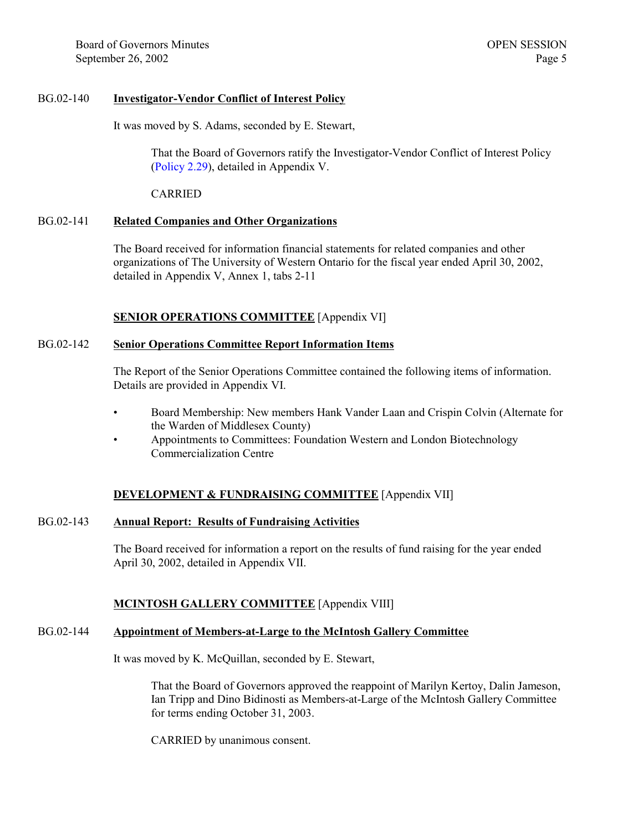## BG.02-140 **Investigator-Vendor Conflict of Interest Policy**

It was moved by S. Adams, seconded by E. Stewart,

That the Board of Governors ratify the Investigator-Vendor Conflict of Interest Policy [\(Policy](http://www.uwo.ca/univsec/mapp/section2/mapp229.pdf) 2.29), detailed in Appendix V.

CARRIED

## BG.02-141 **Related Companies and Other Organizations**

The Board received for information financial statements for related companies and other organizations of The University of Western Ontario for the fiscal year ended April 30, 2002, detailed in Appendix V, Annex 1, tabs 2-11

## **SENIOR OPERATIONS COMMITTEE** [Appendix VI]

## BG.02-142 **Senior Operations Committee Report Information Items**

The Report of the Senior Operations Committee contained the following items of information. Details are provided in Appendix VI.

- Board Membership: New members Hank Vander Laan and Crispin Colvin (Alternate for the Warden of Middlesex County)
- Appointments to Committees: Foundation Western and London Biotechnology Commercialization Centre

## **DEVELOPMENT & FUNDRAISING COMMITTEE** [Appendix VII]

## BG.02-143 **Annual Report: Results of Fundraising Activities**

The Board received for information a report on the results of fund raising for the year ended April 30, 2002, detailed in Appendix VII.

## **MCINTOSH GALLERY COMMITTEE** [Appendix VIII]

## BG.02-144 **Appointment of Members-at-Large to the McIntosh Gallery Committee**

It was moved by K. McQuillan, seconded by E. Stewart,

That the Board of Governors approved the reappoint of Marilyn Kertoy, Dalin Jameson, Ian Tripp and Dino Bidinosti as Members-at-Large of the McIntosh Gallery Committee for terms ending October 31, 2003.

CARRIED by unanimous consent.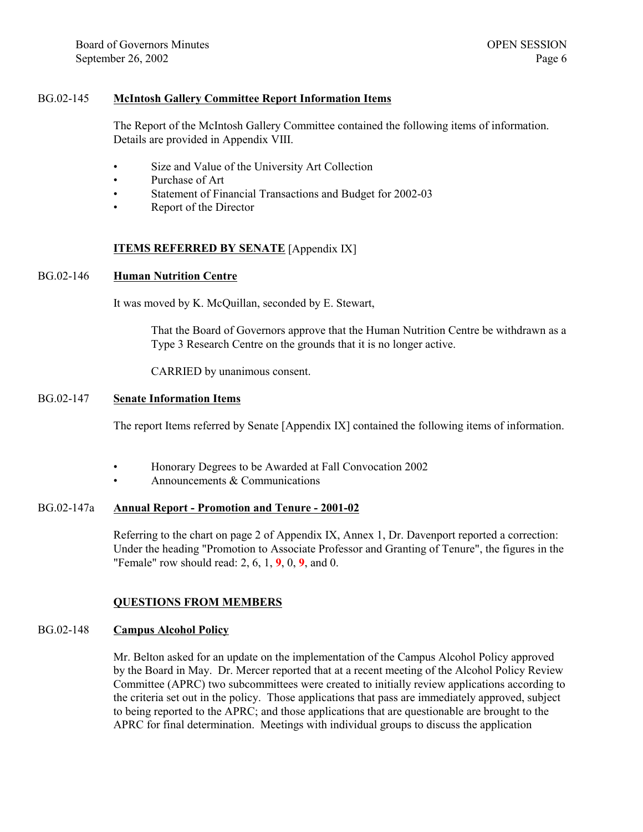## BG.02-145 **McIntosh Gallery Committee Report Information Items**

The Report of the McIntosh Gallery Committee contained the following items of information. Details are provided in Appendix VIII.

- Size and Value of the University Art Collection
- Purchase of Art
- Statement of Financial Transactions and Budget for 2002-03
- Report of the Director

### **ITEMS REFERRED BY SENATE** [Appendix IX]

#### BG.02-146 **Human Nutrition Centre**

It was moved by K. McQuillan, seconded by E. Stewart,

That the Board of Governors approve that the Human Nutrition Centre be withdrawn as a Type 3 Research Centre on the grounds that it is no longer active.

CARRIED by unanimous consent.

#### BG.02-147 **Senate Information Items**

The report Items referred by Senate [Appendix IX] contained the following items of information.

- Honorary Degrees to be Awarded at Fall Convocation 2002
- Announcements & Communications

### BG.02-147a **Annual Report - Promotion and Tenure - 2001-02**

Referring to the chart on page 2 of Appendix IX, Annex 1, Dr. Davenport reported a correction: Under the heading "Promotion to Associate Professor and Granting of Tenure", the figures in the "Female" row should read: 2, 6, 1, **9**, 0, **9**, and 0.

#### **QUESTIONS FROM MEMBERS**

#### BG.02-148 **Campus Alcohol Policy**

Mr. Belton asked for an update on the implementation of the Campus Alcohol Policy approved by the Board in May. Dr. Mercer reported that at a recent meeting of the Alcohol Policy Review Committee (APRC) two subcommittees were created to initially review applications according to the criteria set out in the policy. Those applications that pass are immediately approved, subject to being reported to the APRC; and those applications that are questionable are brought to the APRC for final determination. Meetings with individual groups to discuss the application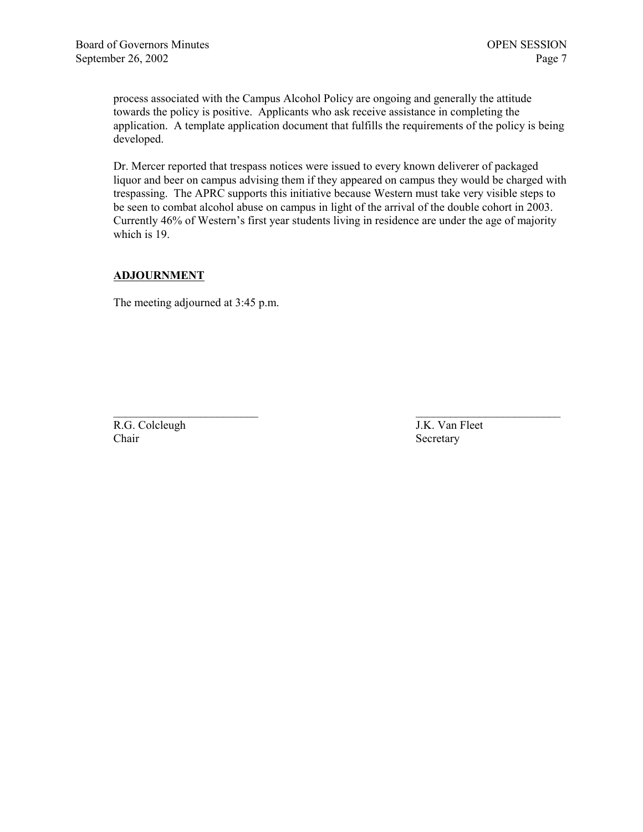process associated with the Campus Alcohol Policy are ongoing and generally the attitude towards the policy is positive. Applicants who ask receive assistance in completing the application. A template application document that fulfills the requirements of the policy is being developed.

Dr. Mercer reported that trespass notices were issued to every known deliverer of packaged liquor and beer on campus advising them if they appeared on campus they would be charged with trespassing. The APRC supports this initiative because Western must take very visible steps to be seen to combat alcohol abuse on campus in light of the arrival of the double cohort in 2003. Currently 46% of Western's first year students living in residence are under the age of majority which is 19.

## **ADJOURNMENT**

The meeting adjourned at 3:45 p.m.

 $\mathcal{L}_\text{max}$  and the contract of the contract of the contract of the contract of the contract of the contract of the contract of the contract of the contract of the contract of the contract of the contract of the contrac R.G. Colcleugh J.K. Van Fleet Chair Secretary Secretary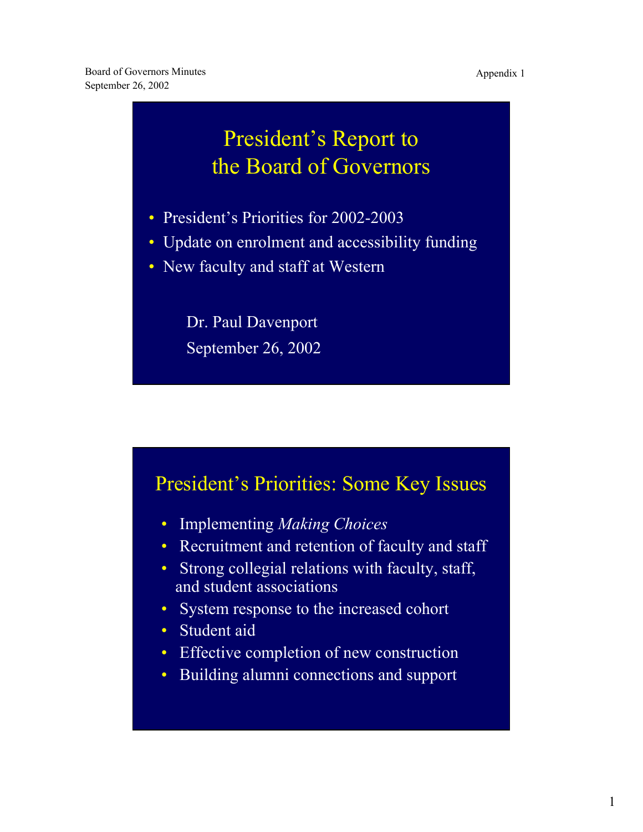## <span id="page-7-0"></span>President's Report to the Board of Governors

- President's Priorities for 2002-2003
- Update on enrolment and accessibility funding
- New faculty and staff at Western

Dr. Paul Davenport September 26, 2002

## President's Priorities: Some Key Issues

- Implementing *Making Choices*
- Recruitment and retention of faculty and staff
- Strong collegial relations with faculty, staff, and student associations
- System response to the increased cohort
- Student aid
- Effective completion of new construction
- Building alumni connections and support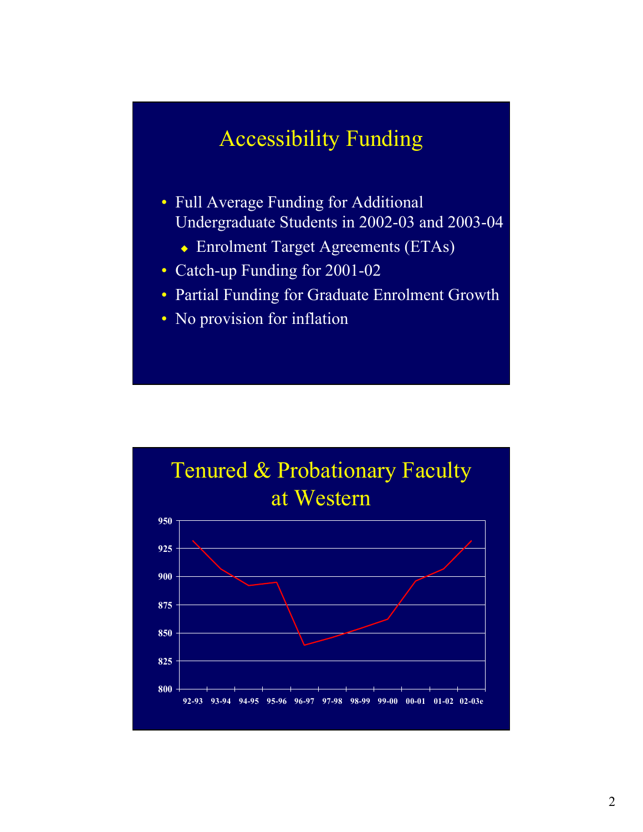## Accessibility Funding

- Full Average Funding for Additional Undergraduate Students in 2002-03 and 2003-04
	- Enrolment Target Agreements (ETAs)
- Catch-up Funding for 2001-02
- Partial Funding for Graduate Enrolment Growth
- No provision for inflation